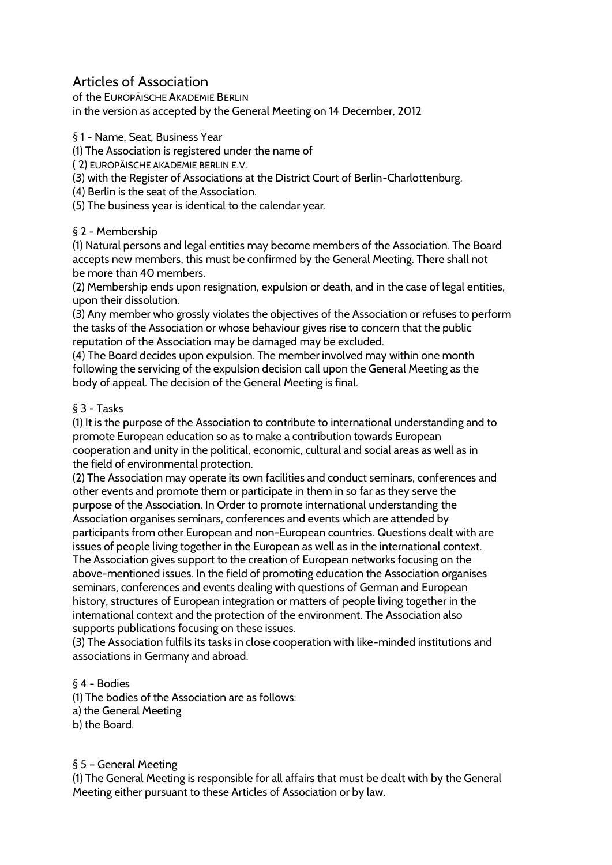# Articles of Association

of the EUROPÄISCHE AKADEMIE BERLIN in the version as accepted by the General Meeting on 14 December, 2012

§ 1 - Name, Seat, Business Year

(1) The Association is registered under the name of

( 2) EUROPÄISCHE AKADEMIE BERLIN E.V.

(3) with the Register of Associations at the District Court of Berlin-Charlottenburg.

(4) Berlin is the seat of the Association.

(5) The business year is identical to the calendar year.

### § 2 - Membership

(1) Natural persons and legal entities may become members of the Association. The Board accepts new members, this must be confirmed by the General Meeting. There shall not be more than 40 members.

(2) Membership ends upon resignation, expulsion or death, and in the case of legal entities, upon their dissolution.

(3) Any member who grossly violates the objectives of the Association or refuses to perform the tasks of the Association or whose behaviour gives rise to concern that the public reputation of the Association may be damaged may be excluded.

(4) The Board decides upon expulsion. The member involved may within one month following the servicing of the expulsion decision call upon the General Meeting as the body of appeal. The decision of the General Meeting is final.

### § 3 - Tasks

(1) It is the purpose of the Association to contribute to international understanding and to promote European education so as to make a contribution towards European cooperation and unity in the political, economic, cultural and social areas as well as in the field of environmental protection.

(2) The Association may operate its own facilities and conduct seminars, conferences and other events and promote them or participate in them in so far as they serve the purpose of the Association. In Order to promote international understanding the Association organises seminars, conferences and events which are attended by participants from other European and non-European countries. Questions dealt with are issues of people living together in the European as well as in the international context. The Association gives support to the creation of European networks focusing on the above-mentioned issues. In the field of promoting education the Association organises seminars, conferences and events dealing with questions of German and European history, structures of European integration or matters of people living together in the international context and the protection of the environment. The Association also supports publications focusing on these issues.

(3) The Association fulfils its tasks in close cooperation with like-minded institutions and associations in Germany and abroad.

#### § 4 - Bodies

(1) The bodies of the Association are as follows:

- a) the General Meeting
- b) the Board.

# § 5 – General Meeting

(1) The General Meeting is responsible for all affairs that must be dealt with by the General Meeting either pursuant to these Articles of Association or by law.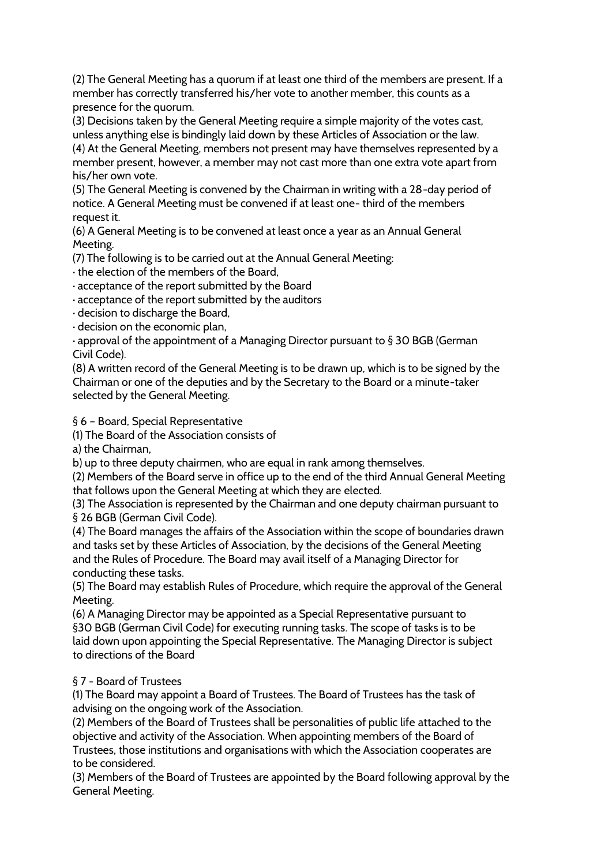(2) The General Meeting has a quorum if at least one third of the members are present. If a member has correctly transferred his/her vote to another member, this counts as a presence for the quorum.

(3) Decisions taken by the General Meeting require a simple majority of the votes cast, unless anything else is bindingly laid down by these Articles of Association or the law.

(4) At the General Meeting, members not present may have themselves represented by a member present, however, a member may not cast more than one extra vote apart from his/her own vote.

(5) The General Meeting is convened by the Chairman in writing with a 28-day period of notice. A General Meeting must be convened if at least one- third of the members request it.

(6) A General Meeting is to be convened at least once a year as an Annual General Meeting.

(7) The following is to be carried out at the Annual General Meeting:

· the election of the members of the Board,

· acceptance of the report submitted by the Board

· acceptance of the report submitted by the auditors

· decision to discharge the Board,

· decision on the economic plan,

· approval of the appointment of a Managing Director pursuant to § 30 BGB (German Civil Code).

(8) A written record of the General Meeting is to be drawn up, which is to be signed by the Chairman or one of the deputies and by the Secretary to the Board or a minute-taker selected by the General Meeting.

§ 6 - Board, Special Representative

(1) The Board of the Association consists of

a) the Chairman,

b) up to three deputy chairmen, who are equal in rank among themselves.

(2) Members of the Board serve in office up to the end of the third Annual General Meeting that follows upon the General Meeting at which they are elected.

(3) The Association is represented by the Chairman and one deputy chairman pursuant to § 26 BGB (German Civil Code).

(4) The Board manages the affairs of the Association within the scope of boundaries drawn and tasks set by these Articles of Association, by the decisions of the General Meeting and the Rules of Procedure. The Board may avail itself of a Managing Director for conducting these tasks.

(5) The Board may establish Rules of Procedure, which require the approval of the General Meeting.

(6) A Managing Director may be appointed as a Special Representative pursuant to §30 BGB (German Civil Code) for executing running tasks. The scope of tasks is to be laid down upon appointing the Special Representative. The Managing Director is subject to directions of the Board

# § 7 - Board of Trustees

(1) The Board may appoint a Board of Trustees. The Board of Trustees has the task of advising on the ongoing work of the Association.

(2) Members of the Board of Trustees shall be personalities of public life attached to the objective and activity of the Association. When appointing members of the Board of Trustees, those institutions and organisations with which the Association cooperates are to be considered.

(3) Members of the Board of Trustees are appointed by the Board following approval by the General Meeting.